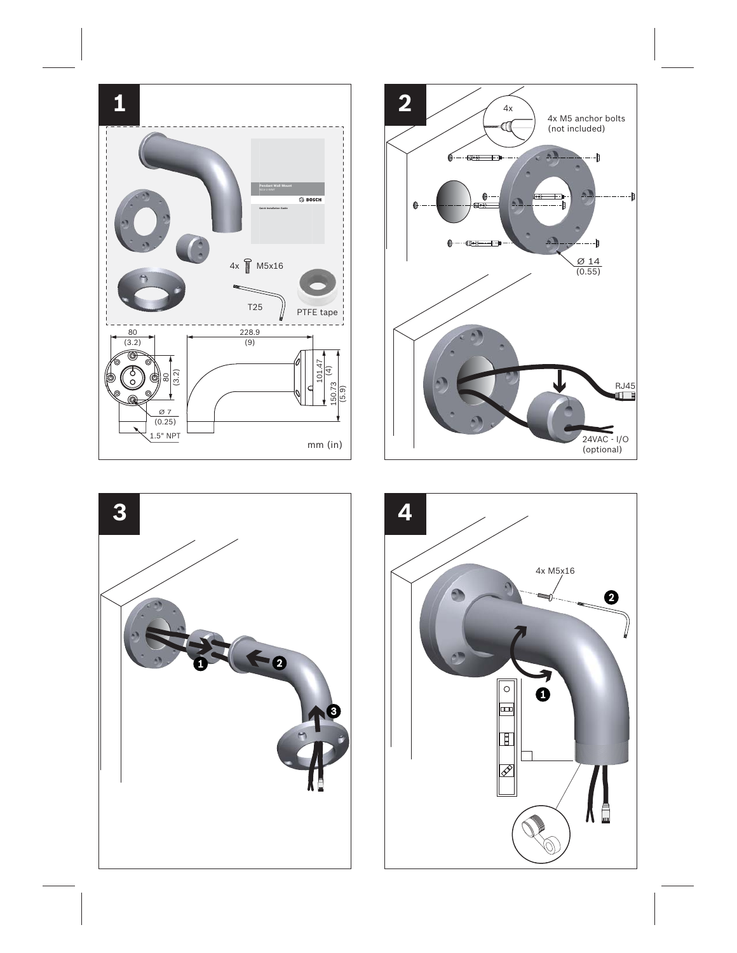